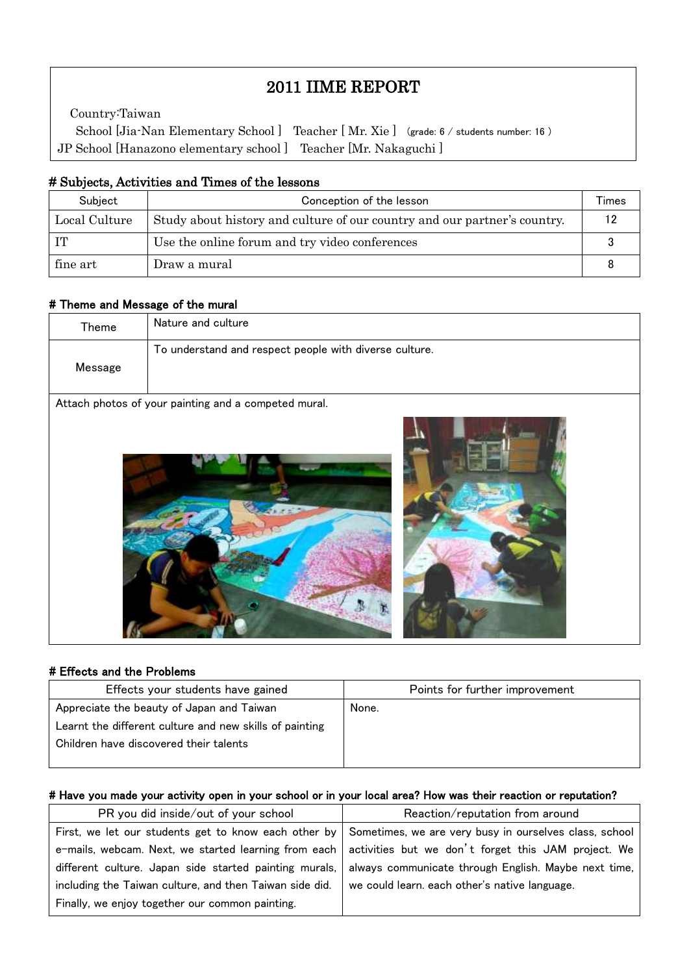# 2011 IIME REPORT

School [Jia-Nan Elementary School] Teacher [Mr. Xie] (grade: 6 / students number: 16) Country:Taiwan JP School [Hanazono elementary school ] Teacher [Mr. Nakaguchi ]

### # Subjects, Activities and Times of the lessons

| Subject       | Conception of the lesson                                                  |    |  |  |
|---------------|---------------------------------------------------------------------------|----|--|--|
| Local Culture | Study about history and culture of our country and our partner's country. | 12 |  |  |
| IT            | Use the online forum and try video conferences                            |    |  |  |
| fine art      | Draw a mural                                                              |    |  |  |

#### # Theme and Message of the mural

 $\mathsf I$  $\mathsf I$  $\mathsf I$ 

 $\mathsf I$ L

| Theme   | Nature and culture                                     |
|---------|--------------------------------------------------------|
| Message | To understand and respect people with diverse culture. |
|         |                                                        |
|         | Attach photos of your painting and a competed mural.   |
|         |                                                        |





### # Effects and the Problems

| Effects your students have gained                       | Points for further improvement |
|---------------------------------------------------------|--------------------------------|
| Appreciate the beauty of Japan and Taiwan               | None.                          |
| Learnt the different culture and new skills of painting |                                |
| Children have discovered their talents                  |                                |
|                                                         |                                |

#### # Have you made your activity open in your school or in your local area? How was their reaction or reputation?

| PR you did inside/out of your school                    | Reaction/reputation from around                                                                               |  |  |
|---------------------------------------------------------|---------------------------------------------------------------------------------------------------------------|--|--|
|                                                         | First, we let our students get to know each other by   Sometimes, we are very busy in ourselves class, school |  |  |
|                                                         | e-mails, webcam. Next, we started learning from each   activities but we don't forget this JAM project. We    |  |  |
| different culture. Japan side started painting murals,  | always communicate through English. Maybe next time,                                                          |  |  |
| including the Taiwan culture, and then Taiwan side did. | we could learn, each other's native language.                                                                 |  |  |
| Finally, we enjoy together our common painting.         |                                                                                                               |  |  |